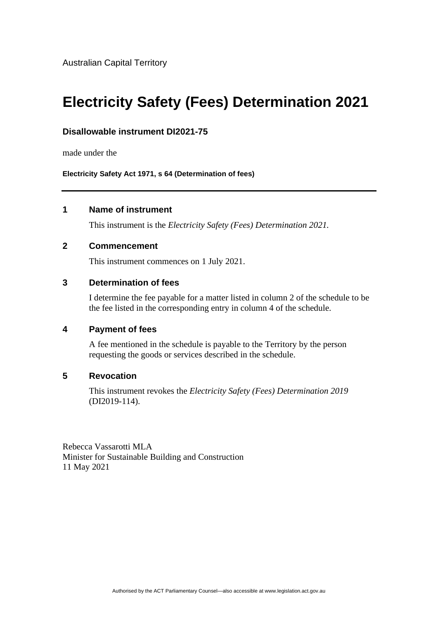Australian Capital Territory

# **Electricity Safety (Fees) Determination 2021**

## **Disallowable instrument DI2021-75**

made under the

**Electricity Safety Act 1971, s 64 (Determination of fees)**

## **1 Name of instrument**

This instrument is the *Electricity Safety (Fees) Determination 2021.*

#### **2 Commencement**

This instrument commences on 1 July 2021.

## **3 Determination of fees**

I determine the fee payable for a matter listed in column 2 of the schedule to be the fee listed in the corresponding entry in column 4 of the schedule.

## **4 Payment of fees**

A fee mentioned in the schedule is payable to the Territory by the person requesting the goods or services described in the schedule.

## **5 Revocation**

This instrument revokes the *Electricity Safety (Fees) Determination 2019* (DI2019-114).

Rebecca Vassarotti MLA Minister for Sustainable Building and Construction 11 May 2021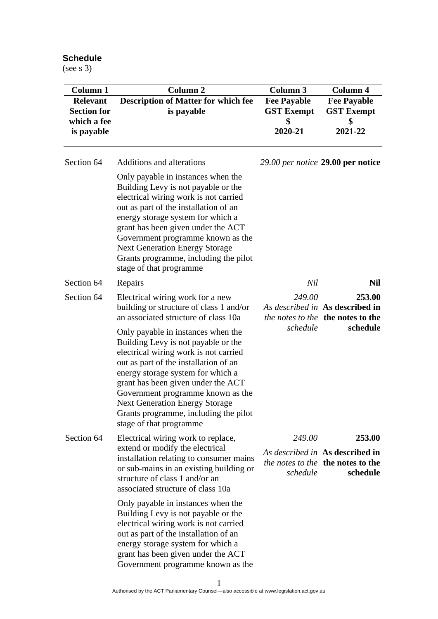# **Schedule**

(see s 3)

| <b>Column 1</b><br><b>Relevant</b><br><b>Section for</b><br>which a fee<br>is payable<br>Section 64 | Column <sub>2</sub><br><b>Description of Matter for which fee</b><br>is payable<br>Additions and alterations<br>Only payable in instances when the<br>Building Levy is not payable or the<br>electrical wiring work is not carried                                                                                                                                                       | Column 3<br><b>Fee Payable</b><br><b>GST Exempt</b><br>\$<br>2020-21 | Column 4<br><b>Fee Payable</b><br><b>GST Exempt</b><br>\$<br>2021-22<br>29.00 per notice 29.00 per notice |
|-----------------------------------------------------------------------------------------------------|------------------------------------------------------------------------------------------------------------------------------------------------------------------------------------------------------------------------------------------------------------------------------------------------------------------------------------------------------------------------------------------|----------------------------------------------------------------------|-----------------------------------------------------------------------------------------------------------|
|                                                                                                     | out as part of the installation of an<br>energy storage system for which a<br>grant has been given under the ACT<br>Government programme known as the<br><b>Next Generation Energy Storage</b><br>Grants programme, including the pilot<br>stage of that programme                                                                                                                       |                                                                      |                                                                                                           |
| Section 64                                                                                          | Repairs                                                                                                                                                                                                                                                                                                                                                                                  | Nil                                                                  | <b>Nil</b>                                                                                                |
| Section 64                                                                                          | Electrical wiring work for a new<br>building or structure of class 1 and/or<br>an associated structure of class 10a                                                                                                                                                                                                                                                                      | 249.00                                                               | 253.00<br>As described in As described in<br>the notes to the <b>the notes to the</b>                     |
|                                                                                                     | Only payable in instances when the<br>Building Levy is not payable or the<br>electrical wiring work is not carried<br>out as part of the installation of an<br>energy storage system for which a<br>grant has been given under the ACT<br>Government programme known as the<br><b>Next Generation Energy Storage</b><br>Grants programme, including the pilot<br>stage of that programme | schedule                                                             | schedule                                                                                                  |
| Section 64                                                                                          | Electrical wiring work to replace,                                                                                                                                                                                                                                                                                                                                                       | 249.00                                                               | 253.00                                                                                                    |
|                                                                                                     | extend or modify the electrical<br>installation relating to consumer mains<br>or sub-mains in an existing building or<br>structure of class 1 and/or an<br>associated structure of class 10a                                                                                                                                                                                             | schedule                                                             | As described in As described in<br>the notes to the the notes to the<br>schedule                          |
|                                                                                                     | Only payable in instances when the<br>Building Levy is not payable or the<br>electrical wiring work is not carried<br>out as part of the installation of an<br>energy storage system for which a<br>grant has been given under the ACT<br>Government programme known as the                                                                                                              |                                                                      |                                                                                                           |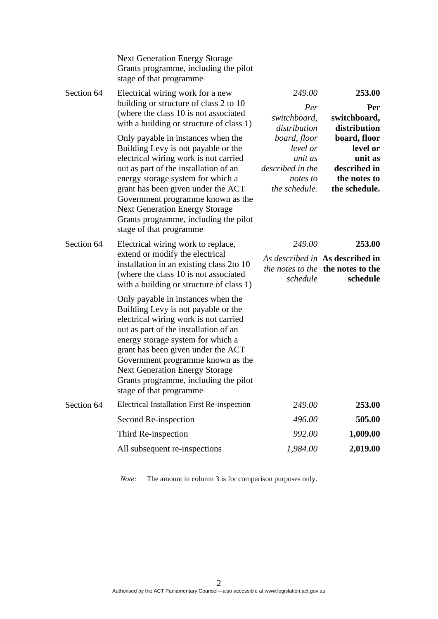|            | <b>Next Generation Energy Storage</b><br>Grants programme, including the pilot<br>stage of that programme                                                                                                                                                                                                                                                                                |                                                                                                      |                                                                                                      |
|------------|------------------------------------------------------------------------------------------------------------------------------------------------------------------------------------------------------------------------------------------------------------------------------------------------------------------------------------------------------------------------------------------|------------------------------------------------------------------------------------------------------|------------------------------------------------------------------------------------------------------|
| Section 64 | Electrical wiring work for a new<br>building or structure of class 2 to 10<br>(where the class 10 is not associated<br>with a building or structure of class 1)                                                                                                                                                                                                                          | 249.00<br>Per<br>switchboard,                                                                        | 253.00<br>Per<br>switchboard,                                                                        |
|            | Only payable in instances when the<br>Building Levy is not payable or the<br>electrical wiring work is not carried<br>out as part of the installation of an<br>energy storage system for which a<br>grant has been given under the ACT<br>Government programme known as the<br><b>Next Generation Energy Storage</b><br>Grants programme, including the pilot<br>stage of that programme | distribution<br>board, floor<br>level or<br>unit as<br>described in the<br>notes to<br>the schedule. | distribution<br>board, floor<br>level or<br>unit as<br>described in<br>the notes to<br>the schedule. |
| Section 64 | Electrical wiring work to replace,<br>extend or modify the electrical<br>installation in an existing class 2to 10<br>(where the class 10 is not associated)<br>with a building or structure of class 1)                                                                                                                                                                                  | 249.00<br>schedule                                                                                   | 253.00<br>As described in As described in<br>the notes to the <b>the notes to the</b><br>schedule    |
|            | Only payable in instances when the<br>Building Levy is not payable or the<br>electrical wiring work is not carried<br>out as part of the installation of an<br>energy storage system for which a<br>grant has been given under the ACT<br>Government programme known as the<br><b>Next Generation Energy Storage</b><br>Grants programme, including the pilot<br>stage of that programme |                                                                                                      |                                                                                                      |
| Section 64 | <b>Electrical Installation First Re-inspection</b>                                                                                                                                                                                                                                                                                                                                       | 249.00                                                                                               | 253.00                                                                                               |
|            | Second Re-inspection                                                                                                                                                                                                                                                                                                                                                                     | 496.00                                                                                               | 505.00                                                                                               |
|            | Third Re-inspection                                                                                                                                                                                                                                                                                                                                                                      | 992.00                                                                                               | 1,009.00                                                                                             |
|            | All subsequent re-inspections                                                                                                                                                                                                                                                                                                                                                            | 1,984.00                                                                                             | 2,019.00                                                                                             |

*Note:* The amount in column 3 is for comparison purposes only.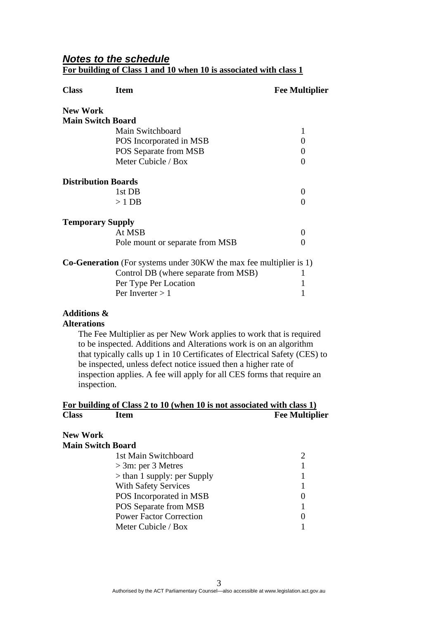## *Notes to the schedule*

| <b>Class</b>               | <b>Item</b>                                                               | <b>Fee Multiplier</b> |
|----------------------------|---------------------------------------------------------------------------|-----------------------|
| <b>New Work</b>            |                                                                           |                       |
| <b>Main Switch Board</b>   |                                                                           |                       |
|                            | Main Switchboard                                                          | $\mathbf{1}$          |
|                            | POS Incorporated in MSB                                                   | $\theta$              |
|                            | POS Separate from MSB                                                     | 0                     |
|                            | Meter Cubicle / Box                                                       | 0                     |
| <b>Distribution Boards</b> |                                                                           |                       |
|                            | 1st DB                                                                    | $\mathbf{0}$          |
|                            | $>1$ DB                                                                   | 0                     |
| <b>Temporary Supply</b>    |                                                                           |                       |
|                            | At MSB                                                                    | $\theta$              |
|                            | Pole mount or separate from MSB                                           | 0                     |
|                            | <b>Co-Generation</b> (For systems under 30KW the max fee multiplier is 1) |                       |
|                            | Control DB (where separate from MSB)                                      |                       |
|                            | Per Type Per Location                                                     |                       |
|                            | Per Inverter $> 1$                                                        |                       |

## **For building of Class 1 and 10 when 10 is associated with class 1**

## **Additions &**

#### **Alterations**

The Fee Multiplier as per New Work applies to work that is required to be inspected. Additions and Alterations work is on an algorithm that typically calls up 1 in 10 Certificates of Electrical Safety (CES) to be inspected, unless defect notice issued then a higher rate of inspection applies. A fee will apply for all CES forms that require an inspection.

## **For building of Class 2 to 10 (when 10 is not associated with class 1)**<br>Class Item Fee Multipl **Class Item Fee Multiplier**

#### **New Work Main Switch Board**

| www.                           |  |
|--------------------------------|--|
| 1st Main Switchboard           |  |
| $>$ 3m: per 3 Metres           |  |
| $>$ than 1 supply: per Supply  |  |
| <b>With Safety Services</b>    |  |
| POS Incorporated in MSB        |  |
| <b>POS Separate from MSB</b>   |  |
| <b>Power Factor Correction</b> |  |
| Meter Cubicle / Box            |  |
|                                |  |